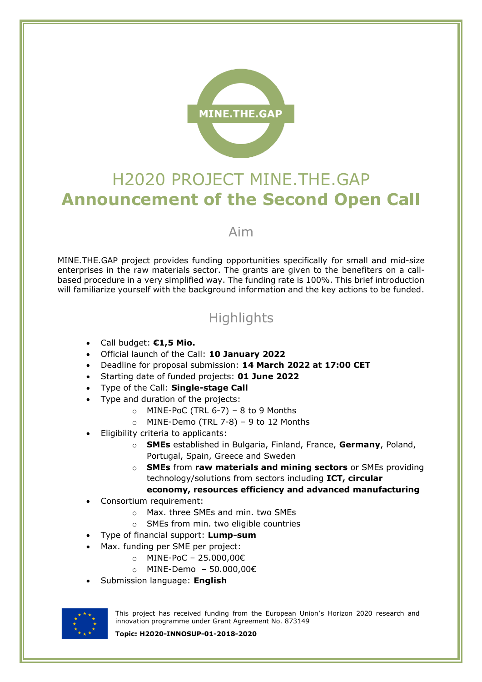

# H2020 PROJECT MINE.THE.GAP **Announcement of the Second Open Call**

#### Aim

MINE.THE.GAP project provides funding opportunities specifically for small and mid-size enterprises in the raw materials sector. The grants are given to the benefiters on a callbased procedure in a very simplified way. The funding rate is 100%. This brief introduction will familiarize yourself with the background information and the key actions to be funded.

# **Highlights**

- Call budget: **€1,5 Mio.**
- Official launch of the Call: **10 January 2022**
- Deadline for proposal submission: **14 March 2022 at 17:00 CET**
- Starting date of funded projects: **01 June 2022**
- Type of the Call: **Single-stage Call**
- Type and duration of the projects:
	- $\circ$  MINE-PoC (TRL 6-7) 8 to 9 Months
	- $\circ$  MINE-Demo (TRL 7-8) 9 to 12 Months
- Eligibility criteria to applicants:
	- o **SMEs** established in Bulgaria, Finland, France, **Germany**, Poland, Portugal, Spain, Greece and Sweden
	- o **SMEs** from **raw materials and mining sectors** or SMEs providing technology/solutions from sectors including **ICT, circular economy, resources efficiency and advanced manufacturing**
- Consortium requirement:
	- o Max. three SMEs and min. two SMEs
	- o SMEs from min. two eligible countries
- Type of financial support: **Lump-sum**
- Max. funding per SME per project:
	- o MINE-PoC 25.000,00€
	- o MINE-Demo 50.000,00€
- Submission language: **English**



This project has received funding from the European Union's Horizon 2020 research and innovation programme under Grant Agreement No. 873149

**Topic: H2020-INNOSUP-01-2018-2020**